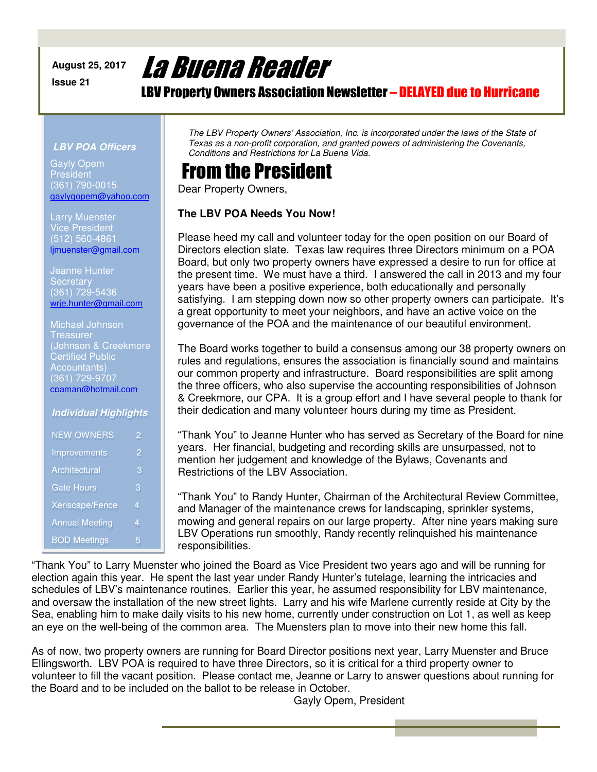#### **August 25, 2017 Issue 21**

# La Buena Reader

LBV Property Owners Association Newsletter – DELAYED due to Hurricane

#### *LBV POA Officers*

Gayly Opem President (361) 790-0015 gaylygopem@yahoo.com

Larry Muenster Vice President (512) 560-4861 ljmuenster@gmail.com

Jeanne Hunter **Secretary** есегетагу<br>(361) 7<u>29-5436</u> wrje.hunter@gmail.com

| <b>Michael Johnson</b>  |  |
|-------------------------|--|
| Treasurer               |  |
| (Johnson & Creekmore    |  |
| <b>Certified Public</b> |  |
| <b>Accountants)</b>     |  |
| (361) 729-9707          |  |
| cpaman@hotmail.com      |  |
|                         |  |

#### *Individual Highlights*

| <b>NEW OWNERS</b>     | 2 |
|-----------------------|---|
| Improvements          | 2 |
| Architectural         | 3 |
| Gate Hours            | 3 |
| Xeriscape/Fence       | 4 |
| <b>Annual Meeting</b> | 4 |
| <b>BOD Meetings</b>   | 5 |

*The LBV Property Owners' Association, Inc. is incorporated under the laws of the State of Texas as a non-profit corporation, and granted powers of administering the Covenants, Conditions and Restrictions for La Buena Vida.* 

#### From the President

Dear Property Owners,

#### **The LBV POA Needs You Now!**

Please heed my call and volunteer today for the open position on our Board of Directors election slate. Texas law requires three Directors minimum on a POA Board, but only two property owners have expressed a desire to run for office at the present time. We must have a third. I answered the call in 2013 and my four years have been a positive experience, both educationally and personally satisfying. I am stepping down now so other property owners can participate. It's a great opportunity to meet your neighbors, and have an active voice on the governance of the POA and the maintenance of our beautiful environment.

The Board works together to build a consensus among our 38 property owners on rules and regulations, ensures the association is financially sound and maintains our common property and infrastructure. Board responsibilities are split among the three officers, who also supervise the accounting responsibilities of Johnson & Creekmore, our CPA. It is a group effort and I have several people to thank for their dedication and many volunteer hours during my time as President.

"Thank You" to Jeanne Hunter who has served as Secretary of the Board for nine years. Her financial, budgeting and recording skills are unsurpassed, not to mention her judgement and knowledge of the Bylaws, Covenants and Restrictions of the LBV Association.

"Thank You" to Randy Hunter, Chairman of the Architectural Review Committee, and Manager of the maintenance crews for landscaping, sprinkler systems, mowing and general repairs on our large property. After nine years making sure LBV Operations run smoothly, Randy recently relinquished his maintenance responsibilities.

"Thank You" to Larry Muenster who joined the Board as Vice President two years ago and will be running for election again this year. He spent the last year under Randy Hunter's tutelage, learning the intricacies and schedules of LBV's maintenance routines. Earlier this year, he assumed responsibility for LBV maintenance, and oversaw the installation of the new street lights. Larry and his wife Marlene currently reside at City by the Sea, enabling him to make daily visits to his new home, currently under construction on Lot 1, as well as keep an eye on the well-being of the common area. The Muensters plan to move into their new home this fall.

As of now, two property owners are running for Board Director positions next year, Larry Muenster and Bruce Ellingsworth. LBV POA is required to have three Directors, so it is critical for a third property owner to volunteer to fill the vacant position. Please contact me, Jeanne or Larry to answer questions about running for the Board and to be included on the ballot to be release in October.

Gayly Opem, President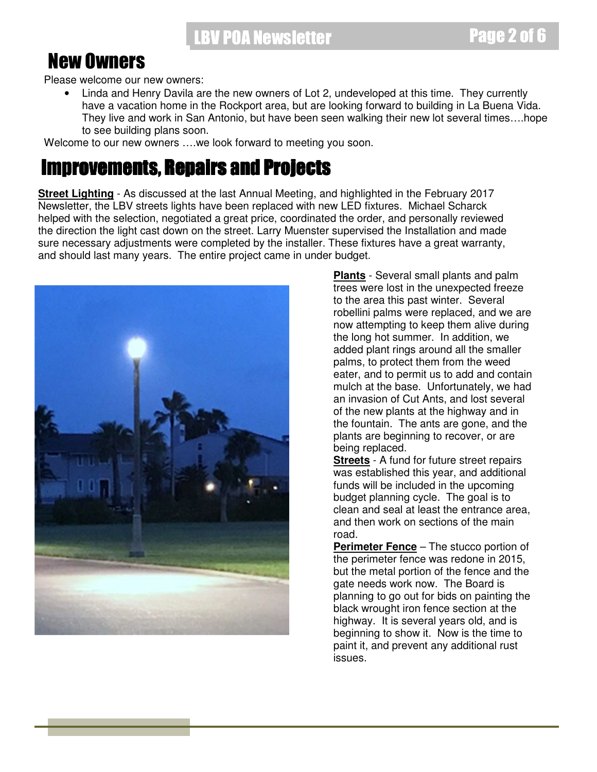#### New Owners

Please welcome our new owners:

• Linda and Henry Davila are the new owners of Lot 2, undeveloped at this time. They currently have a vacation home in the Rockport area, but are looking forward to building in La Buena Vida. They live and work in San Antonio, but have been seen walking their new lot several times….hope to see building plans soon.

Welcome to our new owners ….we look forward to meeting you soon.

#### **Improvements, Repairs and Projects**

**Street Lighting** - As discussed at the last Annual Meeting, and highlighted in the February 2017 Newsletter, the LBV streets lights have been replaced with new LED fixtures. Michael Scharck helped with the selection, negotiated a great price, coordinated the order, and personally reviewed the direction the light cast down on the street. Larry Muenster supervised the Installation and made sure necessary adjustments were completed by the installer. These fixtures have a great warranty, and should last many years. The entire project came in under budget.



**Plants** - Several small plants and palm trees were lost in the unexpected freeze to the area this past winter. Several robellini palms were replaced, and we are now attempting to keep them alive during the long hot summer. In addition, we added plant rings around all the smaller palms, to protect them from the weed eater, and to permit us to add and contain mulch at the base. Unfortunately, we had an invasion of Cut Ants, and lost several of the new plants at the highway and in the fountain. The ants are gone, and the plants are beginning to recover, or are being replaced.

**Streets** - A fund for future street repairs was established this year, and additional funds will be included in the upcoming budget planning cycle. The goal is to clean and seal at least the entrance area, and then work on sections of the main road.

**Perimeter Fence** – The stucco portion of the perimeter fence was redone in 2015, but the metal portion of the fence and the gate needs work now. The Board is planning to go out for bids on painting the black wrought iron fence section at the highway. It is several years old, and is beginning to show it. Now is the time to paint it, and prevent any additional rust issues.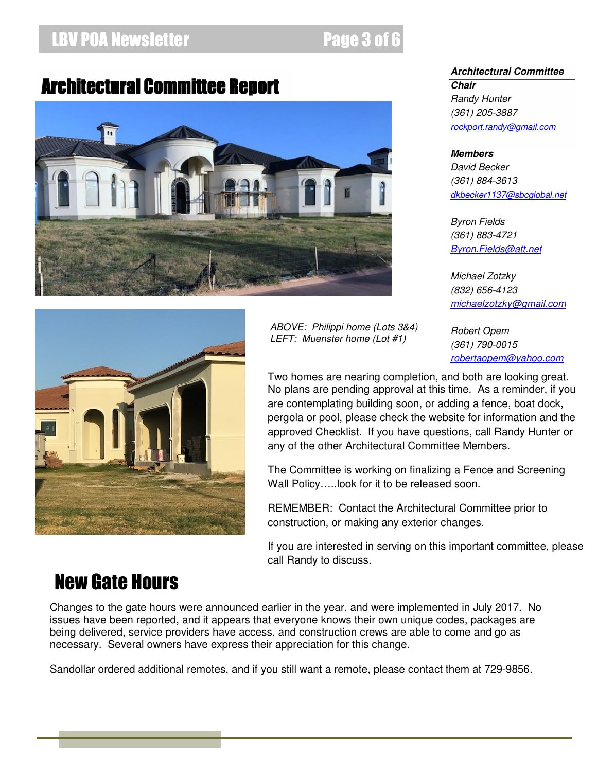#### LBV POA Newsletter **Access 2 of 6 and 6 and 6 and 6 and 6 and 6 and 6 and 6 and 6 and 6 and 6 and 6 and 6 and 6**

*ABOVE: Philippi home (Lots 3&4) LEFT: Muenster home (Lot #1)* 

### **Architectural Committee Report**





*Members David Becker (361) 884-3613 dkbecker1137@sbcglobal.net*

*Byron Fields (361) 883-4721 Byron.Fields@att.net*

*Michael Zotzky (832) 656-4123 michaelzotzky@gmail.com* 

*Robert Opem (361) 790-0015 robertaopem@yahoo.com*

Two homes are nearing completion, and both are looking great. No plans are pending approval at this time. As a reminder, if you are contemplating building soon, or adding a fence, boat dock, pergola or pool, please check the website for information and the approved Checklist. If you have questions, call Randy Hunter or any of the other Architectural Committee Members.

The Committee is working on finalizing a Fence and Screening Wall Policy…..look for it to be released soon.

REMEMBER: Contact the Architectural Committee prior to construction, or making any exterior changes.

If you are interested in serving on this important committee, please call Randy to discuss.

## New Gate Hours

Changes to the gate hours were announced earlier in the year, and were implemented in July 2017. No issues have been reported, and it appears that everyone knows their own unique codes, packages are being delivered, service providers have access, and construction crews are able to come and go as necessary. Several owners have express their appreciation for this change.

Sandollar ordered additional remotes, and if you still want a remote, please contact them at 729-9856.

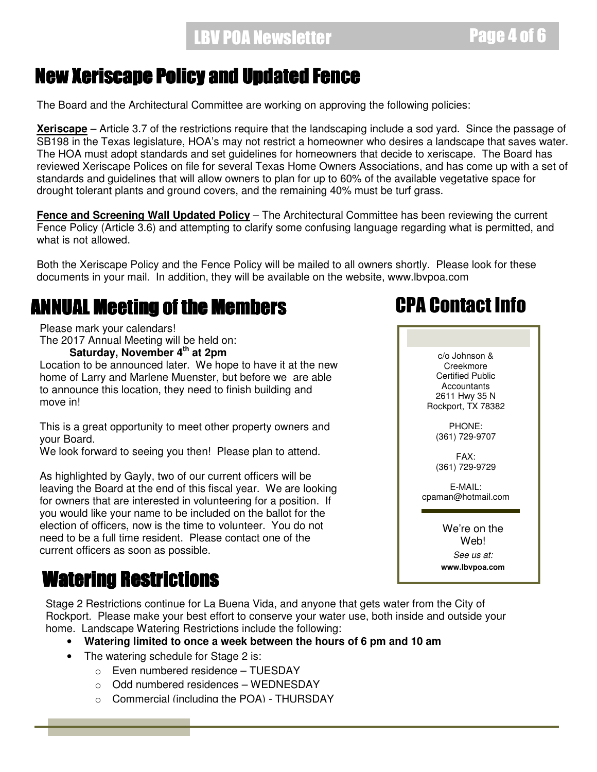### New Xeriscape Policy and Updated Fence

The Board and the Architectural Committee are working on approving the following policies:

**Xeriscape** – Article 3.7 of the restrictions require that the landscaping include a sod yard. Since the passage of SB198 in the Texas legislature, HOA's may not restrict a homeowner who desires a landscape that saves water. The HOA must adopt standards and set guidelines for homeowners that decide to xeriscape. The Board has reviewed Xeriscape Polices on file for several Texas Home Owners Associations, and has come up with a set of standards and guidelines that will allow owners to plan for up to 60% of the available vegetative space for drought tolerant plants and ground covers, and the remaining 40% must be turf grass.

**Fence and Screening Wall Updated Policy** – The Architectural Committee has been reviewing the current Fence Policy (Article 3.6) and attempting to clarify some confusing language regarding what is permitted, and what is not allowed.

Both the Xeriscape Policy and the Fence Policy will be mailed to all owners shortly. Please look for these documents in your mail. In addition, they will be available on the website, www.lbvpoa.com

### ANNUAL Meeting of the Members

Please mark your calendars!

The 2017 Annual Meeting will be held on:

**Saturday, November 4th at 2pm** 

Location to be announced later. We hope to have it at the new home of Larry and Marlene Muenster, but before we are able to announce this location, they need to finish building and move in!

This is a great opportunity to meet other property owners and your Board.

We look forward to seeing you then! Please plan to attend.

As highlighted by Gayly, two of our current officers will be leaving the Board at the end of this fiscal year. We are looking for owners that are interested in volunteering for a position. If you would like your name to be included on the ballot for the election of officers, now is the time to volunteer. You do not need to be a full time resident. Please contact one of the current officers as soon as possible.

## Watering Restrictions

Stage 2 Restrictions continue for La Buena Vida, and anyone that gets water from the City of Rockport. Please make your best effort to conserve your water use, both inside and outside your home. Landscape Watering Restrictions include the following:

- **Watering limited to once a week between the hours of 6 pm and 10 am** 
	- The watering schedule for Stage 2 is:
		- o Even numbered residence TUESDAY
		- o Odd numbered residences WEDNESDAY
		- o Commercial (including the POA) THURSDAY

## CPA Contact Info

c/o Johnson & Creekmore Certified Public **Accountants** 2611 Hwy 35 N Rockport, TX 78382

> PHONE: (361) 729-9707

> FAX: (361) 729-9729

E-MAIL: cpaman@hotmail.com

> We're on the **Web!**

*See us at:*  **www.lbvpoa.com**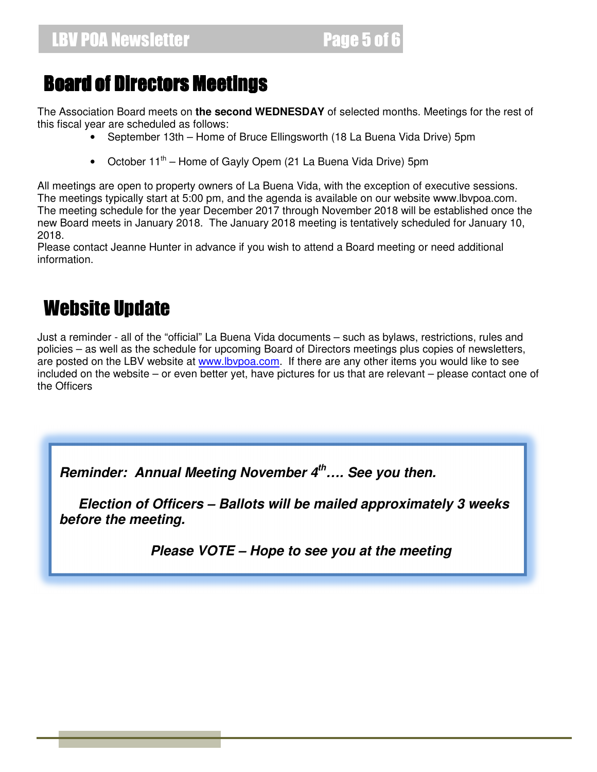## Board of Directors Meetings

The Association Board meets on **the second WEDNESDAY** of selected months. Meetings for the rest of this fiscal year are scheduled as follows:

- September 13th Home of Bruce Ellingsworth (18 La Buena Vida Drive) 5pm
- October  $11^{th}$  Home of Gayly Opem (21 La Buena Vida Drive) 5pm

All meetings are open to property owners of La Buena Vida, with the exception of executive sessions. The meetings typically start at 5:00 pm, and the agenda is available on our website www.lbvpoa.com. The meeting schedule for the year December 2017 through November 2018 will be established once the new Board meets in January 2018. The January 2018 meeting is tentatively scheduled for January 10, 2018.

Please contact Jeanne Hunter in advance if you wish to attend a Board meeting or need additional information.

## Website Update

Just a reminder - all of the "official" La Buena Vida documents – such as bylaws, restrictions, rules and policies – as well as the schedule for upcoming Board of Directors meetings plus copies of newsletters, are posted on the LBV website at www.lbvpoa.com. If there are any other items you would like to see included on the website – or even better yet, have pictures for us that are relevant – please contact one of the Officers

*Reminder: Annual Meeting November 4th…. See you then.* 

 *Election of Officers – Ballots will be mailed approximately 3 weeks before the meeting.* 

 *Please VOTE – Hope to see you at the meeting*